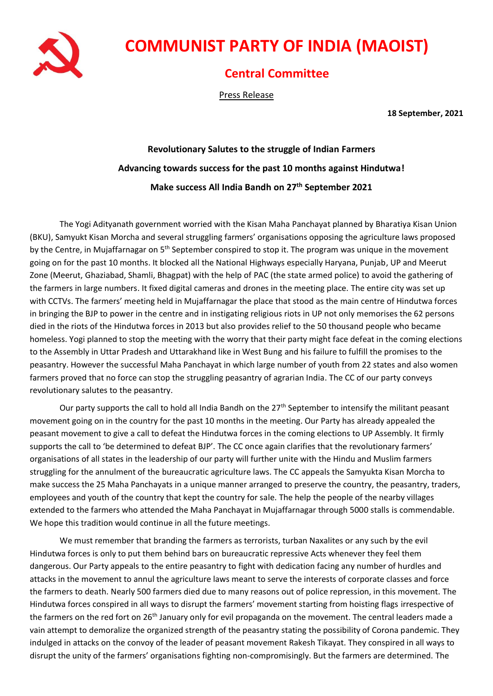

## **COMMUNIST PARTY OF INDIA (MAOIST)**

## **Central Committee**

Press Release

**18 September, 2021**

## **Revolutionary Salutes to the struggle of Indian Farmers Advancing towards success for the past 10 months against Hindutwa! Make success All India Bandh on 27th September 2021**

The Yogi Adityanath government worried with the Kisan Maha Panchayat planned by Bharatiya Kisan Union (BKU), Samyukt Kisan Morcha and several struggling farmers' organisations opposing the agriculture laws proposed by the Centre, in Mujaffarnagar on 5<sup>th</sup> September conspired to stop it. The program was unique in the movement going on for the past 10 months. It blocked all the National Highways especially Haryana, Punjab, UP and Meerut Zone (Meerut, Ghaziabad, Shamli, Bhagpat) with the help of PAC (the state armed police) to avoid the gathering of the farmers in large numbers. It fixed digital cameras and drones in the meeting place. The entire city was set up with CCTVs. The farmers' meeting held in Mujaffarnagar the place that stood as the main centre of Hindutwa forces in bringing the BJP to power in the centre and in instigating religious riots in UP not only memorises the 62 persons died in the riots of the Hindutwa forces in 2013 but also provides relief to the 50 thousand people who became homeless. Yogi planned to stop the meeting with the worry that their party might face defeat in the coming elections to the Assembly in Uttar Pradesh and Uttarakhand like in West Bung and his failure to fulfill the promises to the peasantry. However the successful Maha Panchayat in which large number of youth from 22 states and also women farmers proved that no force can stop the struggling peasantry of agrarian India. The CC of our party conveys revolutionary salutes to the peasantry.

Our party supports the call to hold all India Bandh on the 27<sup>th</sup> September to intensify the militant peasant movement going on in the country for the past 10 months in the meeting. Our Party has already appealed the peasant movement to give a call to defeat the Hindutwa forces in the coming elections to UP Assembly. It firmly supports the call to 'be determined to defeat BJP'. The CC once again clarifies that the revolutionary farmers' organisations of all states in the leadership of our party will further unite with the Hindu and Muslim farmers struggling for the annulment of the bureaucratic agriculture laws. The CC appeals the Samyukta Kisan Morcha to make success the 25 Maha Panchayats in a unique manner arranged to preserve the country, the peasantry, traders, employees and youth of the country that kept the country for sale. The help the people of the nearby villages extended to the farmers who attended the Maha Panchayat in Mujaffarnagar through 5000 stalls is commendable. We hope this tradition would continue in all the future meetings.

We must remember that branding the farmers as terrorists, turban Naxalites or any such by the evil Hindutwa forces is only to put them behind bars on bureaucratic repressive Acts whenever they feel them dangerous. Our Party appeals to the entire peasantry to fight with dedication facing any number of hurdles and attacks in the movement to annul the agriculture laws meant to serve the interests of corporate classes and force the farmers to death. Nearly 500 farmers died due to many reasons out of police repression, in this movement. The Hindutwa forces conspired in all ways to disrupt the farmers' movement starting from hoisting flags irrespective of the farmers on the red fort on 26<sup>th</sup> January only for evil propaganda on the movement. The central leaders made a vain attempt to demoralize the organized strength of the peasantry stating the possibility of Corona pandemic. They indulged in attacks on the convoy of the leader of peasant movement Rakesh Tikayat. They conspired in all ways to disrupt the unity of the farmers' organisations fighting non-compromisingly. But the farmers are determined. The